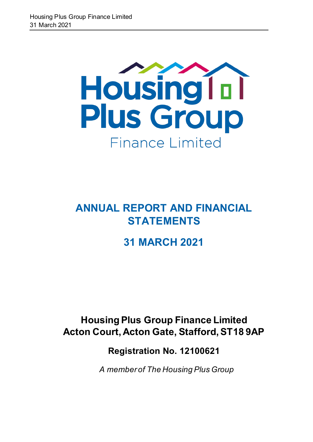

**ANNUAL REPORT AND FINANCIAL STATEMENTS** 

# **31 MARCH 2021**

# **Housing Plus Group Finance Limited Acton Court, Acton Gate, Stafford, ST18 9AP**

# **Registration No. 12100621**

*A member of The Housing Plus Group*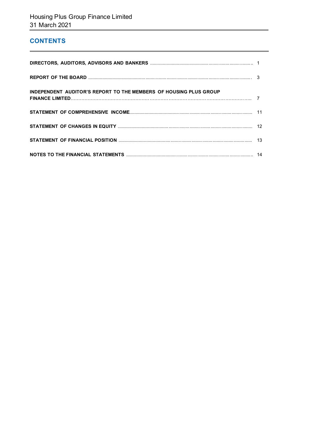# **CONTENTS**

| <b>INDEPENDENT AUDITOR'S REPORT TO THE MEMBERS OF HOUSING PLUS GROUP</b> |  |
|--------------------------------------------------------------------------|--|
|                                                                          |  |
|                                                                          |  |
|                                                                          |  |
|                                                                          |  |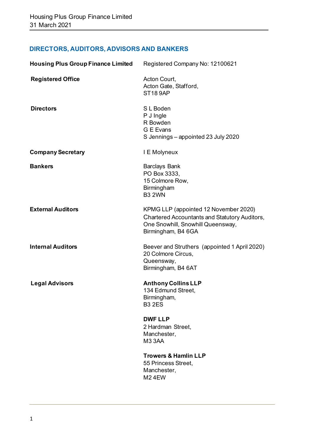# **DIRECTORS, AUDITORS, ADVISORS AND BANKERS**

| <b>Housing Plus Group Finance Limited</b> | Registered Company No: 12100621                                                                                                                          |
|-------------------------------------------|----------------------------------------------------------------------------------------------------------------------------------------------------------|
| <b>Registered Office</b>                  | Acton Court,<br>Acton Gate, Stafford,<br><b>ST18 9AP</b>                                                                                                 |
| <b>Directors</b>                          | S L Boden<br>P J Ingle<br>R Bowden<br>G E Evans<br>S Jennings - appointed 23 July 2020                                                                   |
| <b>Company Secretary</b>                  | I E Molyneux                                                                                                                                             |
| <b>Bankers</b>                            | <b>Barclays Bank</b><br>PO Box 3333,<br>15 Colmore Row,<br>Birmingham<br><b>B3 2WN</b>                                                                   |
| <b>External Auditors</b>                  | KPMG LLP (appointed 12 November 2020)<br><b>Chartered Accountants and Statutory Auditors,</b><br>One Snowhill, Snowhill Queensway,<br>Birmingham, B4 6GA |
| <b>Internal Auditors</b>                  | Beever and Struthers (appointed 1 April 2020)<br>20 Colmore Circus,<br>Queensway,<br>Birmingham, B4 6AT                                                  |
| <b>Legal Advisors</b>                     | <b>Anthony Collins LLP</b><br>134 Edmund Street,<br>Birmingham,<br><b>B3 2ES</b>                                                                         |
|                                           | <b>DWF LLP</b><br>2 Hardman Street,<br>Manchester,<br><b>M33AA</b>                                                                                       |
|                                           | <b>Trowers &amp; Hamlin LLP</b><br>55 Princess Street,<br>Manchester,<br><b>M24EW</b>                                                                    |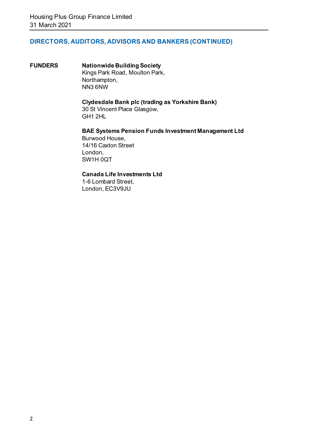# **DIRECTORS, AUDITORS, ADVISORS AND BANKERS (CONTINUED)**

**FUNDERS Nationwide Building Society** Kings Park Road, Moulton Park, Northampton, NN3 6NW

#### **Clydesdale Bank plc (trading as Yorkshire Bank)**

30 St Vincent Place Glasgow, GH1 2HL

# **BAE Systems Pension Funds Investment Management Ltd**

Burwood House, 14/16 Caxton Street London, SW1H 0QT

#### **Canada Life Investments Ltd**

1-6 Lombard Street, London, EC3V9JU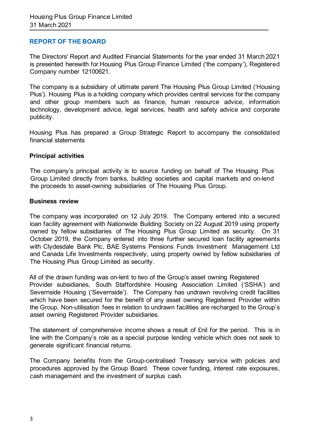## **REPORT OF THE BOARD**

The Directors' Report and Audited Financial Statements for the year ended 31 March 2021 is presented herewith for Housing Plus Group Finance Limited ('the company'), Registered Company number 12100621.

The company is a subsidiary of ultimate parent The Housing Plus Group Limited ('Housing Plus'). Housing Plus is a holding company which provides central services for the company and other group members such as finance, human resource advice, information technology, development advice, legal services, health and safety advice and corporate publicity.

Housing Plus has prepared a Group Strategic Report to accompany the consolidated financial statements

#### **Principal activities**

The company's principal activity is to source funding on behalf of The Housing Plus Group Limited directly from banks, building societies and capital markets and on-lend the proceeds to asset-owning subsidiaries of The Housing Plus Group.

#### **Business review**

The company was incorporated on 12 July 2019. The Company entered into a secured loan facility agreement with Nationwide Building Society on 22 August 2019 using property owned by fellow subsidiaries of The Housing Plus Group Limited as security. On 31 October 2019, the Company entered into three further secured loan facility agreements with Clydesdale Bank Plc, BAE Systems Pensions Funds Investment Management Ltd and Canada Life Investments respectively, using property owned by fellow subsidiaries of The Housing Plus Group Limited as security.

All of the drawn funding was on-lent to two of the Group's asset owning Registered Provider subsidiaries, South Staffordshire Housing Association Limited ('SSHA') and Severnside Housing ('Severnside'). The Company has undrawn revolving credit facilities which have been secured for the benefit of any asset owning Registered Provider within the Group. Non-utilisation fees in relation to undrawn facilities are recharged to the Group's asset owning Registered Provider subsidiaries.

The statement of comprehensive income shows a result of £nil for the period. This is in line with the Company's role as a special purpose lending vehicle which does not seek to generate significant financial returns.

The Company benefits from the Group-centralised Treasury service with policies and procedures approved by the Group Board. These cover funding, interest rate exposures, cash management and the investment of surplus cash.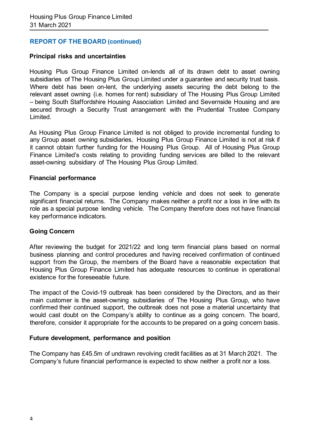# **REPORT OF THE BOARD (continued)**

#### **Principal risks and uncertainties**

Housing Plus Group Finance Limited on-lends all of its drawn debt to asset owning subsidiaries of The Housing Plus Group Limited under a guarantee and security trust basis. Where debt has been on-lent, the underlying assets securing the debt belong to the relevant asset owning (i.e. homes for rent) subsidiary of The Housing Plus Group Limited – being South Staffordshire Housing Association Limited and Severnside Housing and are secured through a Security Trust arrangement with the Prudential Trustee Company Limited.

As Housing Plus Group Finance Limited is not obliged to provide incremental funding to any Group asset owning subsidiaries, Housing Plus Group Finance Limited is not at risk if it cannot obtain further funding for the Housing Plus Group. All of Housing Plus Group Finance Limited's costs relating to providing funding services are billed to the relevant asset-owning subsidiary of The Housing Plus Group Limited.

#### **Financial performance**

The Company is a special purpose lending vehicle and does not seek to generate significant financial returns. The Company makes neither a profit nor a loss in line with its role as a special purpose lending vehicle. The Company therefore does not have financial key performance indicators.

#### **Going Concern**

After reviewing the budget for 2021/22 and long term financial plans based on normal business planning and control procedures and having received confirmation of continued support from the Group, the members of the Board have a reasonable expectation that Housing Plus Group Finance Limited has adequate resources to continue in operational existence for the foreseeable future.

The impact of the Covid-19 outbreak has been considered by the Directors, and as their main customer is the asset-owning subsidiaries of The Housing Plus Group, who have confirmed their continued support, the outbreak does not pose a material uncertainty that would cast doubt on the Company's ability to continue as a going concern. The board, therefore, consider it appropriate for the accounts to be prepared on a going concern basis.

#### **Future development, performance and position**

The Company has £45.5m of undrawn revolving credit facilities as at 31 March 2021. The Company's future financial performance is expected to show neither a profit nor a loss.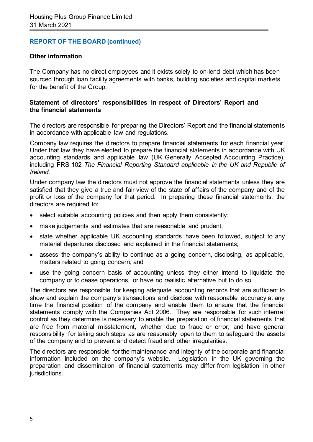## **REPORT OF THE BOARD (continued)**

#### **Other information**

The Company has no direct employees and it exists solely to on-lend debt which has been sourced through loan facility agreements with banks, building societies and capital markets for the benefit of the Group.

#### **Statement of directors' responsibilities in respect of Directors' Report and the financial statements**

The directors are responsible for preparing the Directors' Report and the financial statements in accordance with applicable law and regulations.

Company law requires the directors to prepare financial statements for each financial year. Under that law they have elected to prepare the financial statements in accordance with UK accounting standards and applicable law (UK Generally Accepted Accounting Practice), including FRS 102 *The Financial Reporting Standard applicable in the UK and Republic of Ireland*.

Under company law the directors must not approve the financial statements unless they are satisfied that they give a true and fair view of the state of affairs of the company and of the profit or loss of the company for that period. In preparing these financial statements, the directors are required to:

- select suitable accounting policies and then apply them consistently;
- make judgements and estimates that are reasonable and prudent;
- state whether applicable UK accounting standards have been followed, subject to any material departures disclosed and explained in the financial statements;
- assess the company's ability to continue as a going concern, disclosing, as applicable, matters related to going concern; and
- use the going concern basis of accounting unless they either intend to liquidate the company or to cease operations, or have no realistic alternative but to do so.

The directors are responsible for keeping adequate accounting records that are sufficient to show and explain the company's transactions and disclose with reasonable accuracy at any time the financial position of the company and enable them to ensure that the financial statements comply with the Companies Act 2006. They are responsible for such internal control as they determine is necessary to enable the preparation of financial statements that are free from material misstatement, whether due to fraud or error, and have general responsibility for taking such steps as are reasonably open to them to safeguard the assets of the company and to prevent and detect fraud and other irregularities.

The directors are responsible for the maintenance and integrity of the corporate and financial information included on the company's website. Legislation in the UK governing the preparation and dissemination of financial statements may differ from legislation in other jurisdictions.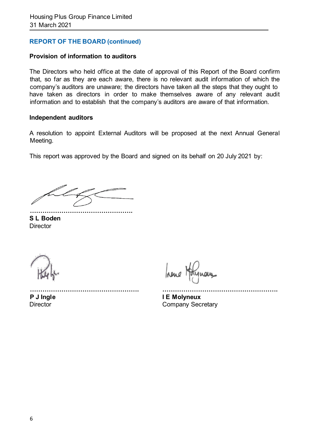# **REPORT OF THE BOARD (continued)**

#### **Provision of information to auditors**

The Directors who held office at the date of approval of this Report of the Board confirm that, so far as they are each aware, there is no relevant audit information of which the company's auditors are unaware; the directors have taken all the steps that they ought to have taken as directors in order to make themselves aware of any relevant audit information and to establish that the company's auditors are aware of that information.

#### **Independent auditors**

A resolution to appoint External Auditors will be proposed at the next Annual General Meeting.

This report was approved by the Board and signed on its behalf on 20 July 2021 by:

**…………………………………………. S L Boden Director** 

hene

**……………………………………………. ……………………………………………….**

**P J Ingle I E Molyneux** Director **Company Secretary**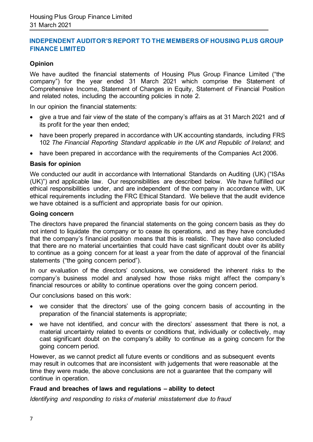# **INDEPENDENT AUDITOR'S REPORT TO THE MEMBERS OF HOUSING PLUS GROUP FINANCE LIMITED**

# **Opinion**

We have audited the financial statements of Housing Plus Group Finance Limited ("the company") for the year ended 31 March 2021 which comprise the Statement of Comprehensive Income, Statement of Changes in Equity, Statement of Financial Position and related notes, including the accounting policies in note 2.

In our opinion the financial statements:

- give a true and fair view of the state of the company's affairs as at 31 March 2021 and of its profit for the year then ended;
- have been properly prepared in accordance with UK accounting standards, including FRS 102 *The Financial Reporting Standard applicable in the UK and Republic of Ireland*; and
- have been prepared in accordance with the requirements of the Companies Act 2006.

#### **Basis for opinion**

We conducted our audit in accordance with International Standards on Auditing (UK) ("ISAs (UK)") and applicable law. Our responsibilities are described below. We have fulfilled our ethical responsibilities under, and are independent of the company in accordance with, UK ethical requirements including the FRC Ethical Standard. We believe that the audit evidence we have obtained is a sufficient and appropriate basis for our opinion.

#### **Going concern**

The directors have prepared the financial statements on the going concern basis as they do not intend to liquidate the company or to cease its operations, and as they have concluded that the company's financial position means that this is realistic. They have also concluded that there are no material uncertainties that could have cast significant doubt over its ability to continue as a going concern for at least a year from the date of approval of the financial statements ("the going concern period").

In our evaluation of the directors' conclusions, we considered the inherent risks to the company's business model and analysed how those risks might affect the company's financial resources or ability to continue operations over the going concern period.

Our conclusions based on this work:

- we consider that the directors' use of the going concern basis of accounting in the preparation of the financial statements is appropriate;
- we have not identified, and concur with the directors' assessment that there is not, a material uncertainty related to events or conditions that, individually or collectively, may cast significant doubt on the company's ability to continue as a going concern for the going concern period.

However, as we cannot predict all future events or conditions and as subsequent events may result in outcomes that are inconsistent with judgements that were reasonable at the time they were made, the above conclusions are not a guarantee that the company will continue in operation.

#### **Fraud and breaches of laws and regulations – ability to detect**

*Identifying and responding to risks of material misstatement due to fraud*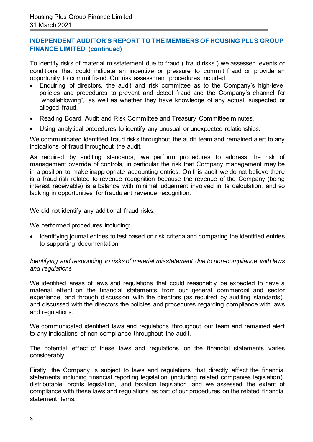# **INDEPENDENT AUDITOR'S REPORT TO THE MEMBERS OF HOUSING PLUS GROUP FINANCE LIMITED (continued)**

To identify risks of material misstatement due to fraud ("fraud risks") we assessed events or conditions that could indicate an incentive or pressure to commit fraud or provide an opportunity to commit fraud. Our risk assessment procedures included:

- Enquiring of directors, the audit and risk committee as to the Company's high-level policies and procedures to prevent and detect fraud and the Company's channel for "whistleblowing", as well as whether they have knowledge of any actual, suspected or alleged fraud.
- Reading Board, Audit and Risk Committee and Treasury Committee minutes.
- Using analytical procedures to identify any unusual or unexpected relationships.

We communicated identified fraud risks throughout the audit team and remained alert to any indications of fraud throughout the audit.

As required by auditing standards, we perform procedures to address the risk of management override of controls, in particular the risk that Company management may be in a position to make inappropriate accounting entries. On this audit we do not believe there is a fraud risk related to revenue recognition because the revenue of the Company (being interest receivable) is a balance with minimal judgement involved in its calculation, and so lacking in opportunities for fraudulent revenue recognition.

We did not identify any additional fraud risks.

We performed procedures including:

• Identifying journal entries to test based on risk criteria and comparing the identified entries to supporting documentation.

#### *Identifying and responding to risks of material misstatement due to non-compliance with laws and regulations*

We identified areas of laws and regulations that could reasonably be expected to have a material effect on the financial statements from our general commercial and sector experience, and through discussion with the directors (as required by auditing standards), and discussed with the directors the policies and procedures regarding compliance with laws and regulations.

We communicated identified laws and regulations throughout our team and remained alert to any indications of non-compliance throughout the audit.

The potential effect of these laws and regulations on the financial statements varies considerably.

Firstly, the Company is subject to laws and regulations that directly affect the financial statements including financial reporting legislation (including related companies legislation), distributable profits legislation, and taxation legislation and we assessed the extent of compliance with these laws and regulations as part of our procedures on the related financial statement items.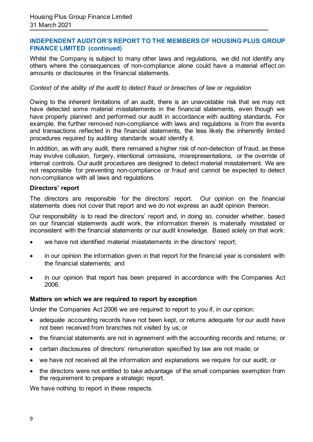#### **INDEPENDENT AUDITOR'S REPORT TO THE MEMBERS OF HOUSING PLUS GROUP FINANCE LIMITED (continued)**

Whilst the Company is subject to many other laws and regulations, we did not identify any others where the consequences of non-compliance alone could have a material effect on amounts or disclosures in the financial statements.

#### *Context of the ability of the audit to detect fraud or breaches of law or regulation*

Owing to the inherent limitations of an audit, there is an unavoidable risk that we may not have detected some material misstatements in the financial statements, even though we have properly planned and performed our audit in accordance with auditing standards. For example, the further removed non-compliance with laws and regulations is from the events and transactions reflected in the financial statements, the less likely the inherently limited procedures required by auditing standards would identify it.

In addition, as with any audit, there remained a higher risk of non-detection of fraud, as these may involve collusion, forgery, intentional omissions, misrepresentations, or the override of internal controls. Our audit procedures are designed to detect material misstatement. We are not responsible for preventing non-compliance or fraud and cannot be expected to detect non-compliance with all laws and regulations.

#### **Directors' report**

The directors are responsible for the directors' report. Our opinion on the financial statements does not cover that report and we do not express an audit opinion thereon.

Our responsibility is to read the directors' report and, in doing so, consider whether, based on our financial statements audit work, the information therein is materially misstated or inconsistent with the financial statements or our audit knowledge. Based solely on that work:

- we have not identified material misstatements in the directors' report;
- in our opinion the information given in that report for the financial year is consistent with the financial statements; and
- in our opinion that report has been prepared in accordance with the Companies Act 2006.

#### **Matters on which we are required to report by exception**

Under the Companies Act 2006 we are required to report to you if, in our opinion:

- adequate accounting records have not been kept, or returns adequate for our audit have not been received from branches not visited by us; or
- the financial statements are not in agreement with the accounting records and returns; or
- certain disclosures of directors' remuneration specified by law are not made; or
- we have not received all the information and explanations we require for our audit; or
- the directors were not entitled to take advantage of the small companies exemption from the requirement to prepare a strategic report.

We have nothing to report in these respects.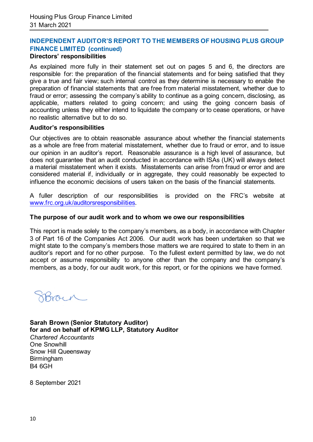#### **INDEPENDENT AUDITOR'S REPORT TO THE MEMBERS OF HOUSING PLUS GROUP FINANCE LIMITED (continued) Directors' responsibilities**

As explained more fully in their statement set out on pages 5 and 6, the directors are responsible for: the preparation of the financial statements and for being satisfied that they give a true and fair view; such internal control as they determine is necessary to enable the preparation of financial statements that are free from material misstatement, whether due to fraud or error; assessing the company's ability to continue as a going concern, disclosing, as applicable, matters related to going concern; and using the going concern basis of accounting unless they either intend to liquidate the company or to cease operations, or have no realistic alternative but to do so.

#### **Auditor's responsibilities**

Our objectives are to obtain reasonable assurance about whether the financial statements as a whole are free from material misstatement, whether due to fraud or error, and to issue our opinion in an auditor's report. Reasonable assurance is a high level of assurance, but does not guarantee that an audit conducted in accordance with ISAs (UK) will always detect a material misstatement when it exists. Misstatements can arise from fraud or error and are considered material if, individually or in aggregate, they could reasonably be expected to influence the economic decisions of users taken on the basis of the financial statements.

A fuller description of our responsibilities is provided on the FRC's website at [www.frc.org.uk/auditorsresponsibilities.](http://www.frc.org.uk/auditorsresponsibilities) 

#### **The purpose of our audit work and to whom we owe our responsibilities**

This report is made solely to the company's members, as a body, in accordance with Chapter 3 of Part 16 of the Companies Act 2006. Our audit work has been undertaken so that we might state to the company's members those matters we are required to state to them in an auditor's report and for no other purpose. To the fullest extent permitted by law, we do not accept or assume responsibility to anyone other than the company and the company's members, as a body, for our audit work, for this report, or for the opinions we have formed.

**Sarah Brown (Senior Statutory Auditor) for and on behalf of KPMG LLP, Statutory Auditor**  *Chartered Accountants*  One Snowhill Snow Hill Queensway Birmingham B4 6GH

8 September 2021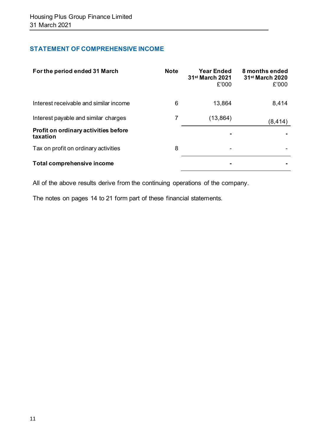# **STATEMENT OF COMPREHENSIVE INCOME**

| For the period ended 31 March                    | <b>Note</b> | <b>Year Ended</b><br>31 <sup>st</sup> March 2021<br>£'000 | 8 months ended<br>31 <sup>st</sup> March 2020<br>£'000 |
|--------------------------------------------------|-------------|-----------------------------------------------------------|--------------------------------------------------------|
| Interest receivable and similar income           | 6           | 13,864                                                    | 8,414                                                  |
| Interest payable and similar charges             |             | (13, 864)                                                 | (8, 414)                                               |
| Profit on ordinary activities before<br>taxation |             |                                                           |                                                        |
| Tax on profit on ordinary activities             | 8           |                                                           |                                                        |
| Total comprehensive income                       |             |                                                           |                                                        |

All of the above results derive from the continuing operations of the company.

The notes on pages 14 to 21 form part of these financial statements.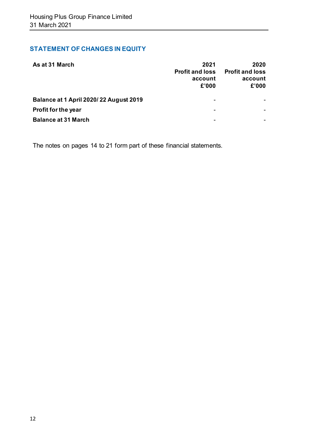# **STATEMENT OF CHANGES IN EQUITY**

| As at 31 March                         | 2021<br><b>Profit and loss</b><br>account<br>£'000 | 2020<br><b>Profit and loss</b><br>account<br>£'000 |
|----------------------------------------|----------------------------------------------------|----------------------------------------------------|
| Balance at 1 April 2020/22 August 2019 |                                                    |                                                    |
| Profit for the year                    |                                                    |                                                    |
| <b>Balance at 31 March</b>             |                                                    |                                                    |

The notes on pages 14 to 21 form part of these financial statements.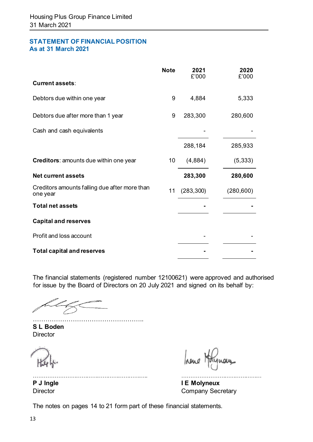## **STATEMENT OF FINANCIAL POSITION As at 31 March 2021**

|                                                           | <b>Note</b> | 2021<br>£'000 | 2020<br>£'000 |
|-----------------------------------------------------------|-------------|---------------|---------------|
| <b>Current assets:</b>                                    |             |               |               |
| Debtors due within one year                               | 9           | 4,884         | 5,333         |
| Debtors due after more than 1 year                        | 9           | 283,300       | 280,600       |
| Cash and cash equivalents                                 |             |               |               |
|                                                           |             | 288,184       | 285,933       |
| Creditors: amounts due within one year                    | 10          | (4,884)       | (5, 333)      |
| <b>Net current assets</b>                                 |             | 283,300       | 280,600       |
| Creditors amounts falling due after more than<br>one year | 11          | (283, 300)    | (280, 600)    |
| <b>Total net assets</b>                                   |             |               |               |
| <b>Capital and reserves</b>                               |             |               |               |
| Profit and loss account                                   |             |               |               |
| <b>Total capital and reserves</b>                         |             |               |               |

The financial statements (registered number 12100621) were approved and authorised for issue by the Board of Directors on 20 July 2021 and signed on its behalf by:

…………………………………………….. **S L Boden Director** 

hene **rang** 

……………………………………………………….. ……………………………………… **P J Ingle 1 E Molyneux** Director **Company Secretary** 

The notes on pages 14 to 21 form part of these financial statements.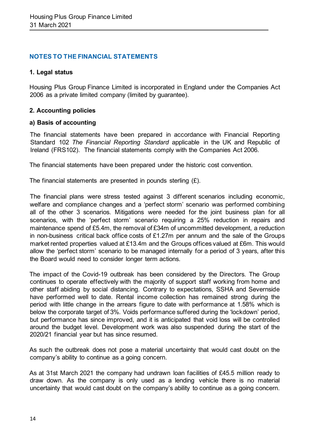## **NOTES TO THE FINANCIAL STATEMENTS**

#### **1. Legal status**

Housing Plus Group Finance Limited is incorporated in England under the Companies Act 2006 as a private limited company (limited by guarantee).

#### **2. Accounting policies**

#### **a) Basis of accounting**

The financial statements have been prepared in accordance with Financial Reporting Standard 102 *The Financial Reporting Standard* applicable in the UK and Republic of Ireland (FRS102). The financial statements comply with the Companies Act 2006.

The financial statements have been prepared under the historic cost convention.

The financial statements are presented in pounds sterling  $(E)$ .

The financial plans were stress tested against 3 different scenarios including economic, welfare and compliance changes and a 'perfect storm' scenario was performed combining all of the other 3 scenarios. Mitigations were needed for the joint business plan for all scenarios, with the 'perfect storm' scenario requiring a 25% reduction in repairs and maintenance spend of £5.4m, the removal of £34m of uncommitted development, a reduction in non-business critical back office costs of £1.27m per annum and the sale of the Groups market rented properties valued at £13.4m and the Groups offices valued at £6m. This would allow the 'perfect storm' scenario to be managed internally for a period of 3 years, after this the Board would need to consider longer term actions.

The impact of the Covid-19 outbreak has been considered by the Directors. The Group continues to operate effectively with the majority of support staff working from home and other staff abiding by social distancing. Contrary to expectations, SSHA and Severnside have performed well to date. Rental income collection has remained strong during the period with little change in the arrears figure to date with performance at 1.58% which is below the corporate target of 3%. Voids performance suffered during the 'lockdown' period, but performance has since improved, and it is anticipated that void loss will be controlled around the budget level. Development work was also suspended during the start of the 2020/21 financial year but has since resumed.

As such the outbreak does not pose a material uncertainty that would cast doubt on the company's ability to continue as a going concern.

As at 31st March 2021 the company had undrawn loan facilities of £45.5 million ready to draw down. As the company is only used as a lending vehicle there is no material uncertainty that would cast doubt on the company's ability to continue as a going concern.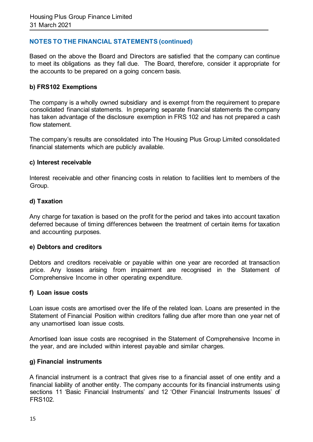# **NOTES TO THE FINANCIAL STATEMENTS (continued)**

Based on the above the Board and Directors are satisfied that the company can continue to meet its obligations as they fall due. The Board, therefore, consider it appropriate for the accounts to be prepared on a going concern basis.

## **b) FRS102 Exemptions**

The company is a wholly owned subsidiary and is exempt from the requirement to prepare consolidated financial statements. In preparing separate financial statements the company has taken advantage of the disclosure exemption in FRS 102 and has not prepared a cash flow statement.

The company's results are consolidated into The Housing Plus Group Limited consolidated financial statements which are publicly available.

#### **c) Interest receivable**

Interest receivable and other financing costs in relation to facilities lent to members of the Group.

#### **d) Taxation**

Any charge for taxation is based on the profit for the period and takes into account taxation deferred because of timing differences between the treatment of certain items for taxation and accounting purposes.

#### **e) Debtors and creditors**

Debtors and creditors receivable or payable within one year are recorded at transaction price. Any losses arising from impairment are recognised in the Statement of Comprehensive Income in other operating expenditure.

#### **f) Loan issue costs**

Loan issue costs are amortised over the life of the related loan. Loans are presented in the Statement of Financial Position within creditors falling due after more than one year net of any unamortised loan issue costs.

Amortised loan issue costs are recognised in the Statement of Comprehensive Income in the year, and are included within interest payable and similar charges.

#### **g) Financial instruments**

A financial instrument is a contract that gives rise to a financial asset of one entity and a financial liability of another entity. The company accounts for its financial instruments using sections 11 'Basic Financial Instruments' and 12 'Other Financial Instruments Issues' of FRS102.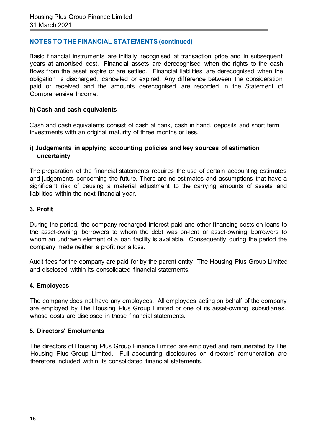# **NOTES TO THE FINANCIAL STATEMENTS (continued)**

Basic financial instruments are initially recognised at transaction price and in subsequent years at amortised cost. Financial assets are derecognised when the rights to the cash flows from the asset expire or are settled. Financial liabilities are derecognised when the obligation is discharged, cancelled or expired. Any difference between the consideration paid or received and the amounts derecognised are recorded in the Statement of Comprehensive Income.

#### **h) Cash and cash equivalents**

Cash and cash equivalents consist of cash at bank, cash in hand, deposits and short term investments with an original maturity of three months or less.

#### **i) Judgements in applying accounting policies and key sources of estimation uncertainty**

The preparation of the financial statements requires the use of certain accounting estimates and judgements concerning the future. There are no estimates and assumptions that have a significant risk of causing a material adjustment to the carrying amounts of assets and liabilities within the next financial year.

#### **3. Profit**

During the period, the company recharged interest paid and other financing costs on loans to the asset-owning borrowers to whom the debt was on-lent or asset-owning borrowers to whom an undrawn element of a loan facility is available. Consequently during the period the company made neither a profit nor a loss.

Audit fees for the company are paid for by the parent entity, The Housing Plus Group Limited and disclosed within its consolidated financial statements.

#### **4. Employees**

The company does not have any employees. All employees acting on behalf of the company are employed by The Housing Plus Group Limited or one of its asset-owning subsidiaries, whose costs are disclosed in those financial statements.

#### **5. Directors' Emoluments**

The directors of Housing Plus Group Finance Limited are employed and remunerated by The Housing Plus Group Limited. Full accounting disclosures on directors' remuneration are therefore included within its consolidated financial statements.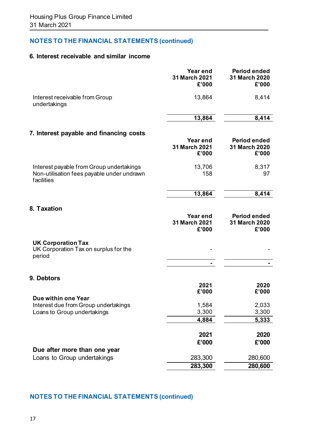# **NOTES TO THE FINANCIAL STATEMENTS (continued)**

# **6. Interest receivable and similar income**

|                                                                                                      | Year end<br>31 March 2021<br>£'000 | <b>Period ended</b><br>31 March 2020<br>£'000 |
|------------------------------------------------------------------------------------------------------|------------------------------------|-----------------------------------------------|
| Interest receivable from Group<br>undertakings                                                       | 13,864                             | 8,414                                         |
|                                                                                                      | 13,864                             | 8,414                                         |
| 7. Interest payable and financing costs                                                              |                                    |                                               |
|                                                                                                      | Year end<br>31 March 2021<br>£'000 | <b>Period ended</b><br>31 March 2020<br>£'000 |
| Interest payable from Group undertakings<br>Non-utilisation fees payable under undrawn<br>facilities | 13,706<br>158                      | 8,317<br>97                                   |
|                                                                                                      | 13,864                             | 8,414                                         |
| 8. Taxation                                                                                          |                                    |                                               |
|                                                                                                      | Year end<br>31 March 2021<br>£'000 | <b>Period ended</b><br>31 March 2020<br>£'000 |
| <b>UK Corporation Tax</b><br>UK Corporation Tax on surplus for the<br>period                         |                                    |                                               |
|                                                                                                      |                                    |                                               |
| <b>9. Debtors</b>                                                                                    |                                    |                                               |
|                                                                                                      | 2021<br>£'000                      | 2020<br>£'000                                 |
| Due within one Year<br>Interest due from Group undertakings                                          | 1,584                              | 2,033                                         |
| Loans to Group undertakings                                                                          | 3,300                              | 3,300                                         |
|                                                                                                      | 4,884                              | 5,333                                         |
|                                                                                                      | 2021                               | 2020                                          |
|                                                                                                      | £'000                              | £'000                                         |
| Due after more than one year                                                                         |                                    |                                               |
| Loans to Group undertakings                                                                          | 283,300<br>283,300                 | 280,600<br>280,600                            |
|                                                                                                      |                                    |                                               |

# **NOTES TO THE FINANCIAL STATEMENTS (continued)**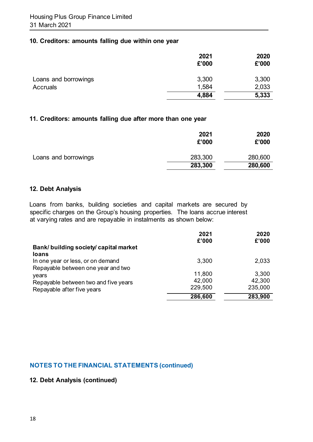## **10. Creditors: amounts falling due within one year**

|                      | 2021<br>£'000 | 2020<br>£'000 |
|----------------------|---------------|---------------|
| Loans and borrowings | 3,300         | 3,300         |
| <b>Accruals</b>      | 1,584         | 2,033         |
|                      | 4,884         | 5,333         |

#### **11. Creditors: amounts falling due after more than one year**

|                      | 2021<br>£'000 | 2020<br>£'000 |
|----------------------|---------------|---------------|
| Loans and borrowings | 283,300       | 280,600       |
|                      | 283,300       | 280,600       |

#### **12. Debt Analysis**

Loans from banks, building societies and capital markets are secured by specific charges on the Group's housing properties. The loans accrue interest at varying rates and are repayable in instalments as shown below:

|                                                 | 2021<br>£'000 | 2020<br>£'000 |
|-------------------------------------------------|---------------|---------------|
| Bank/ building society/ capital market<br>loans |               |               |
| In one year or less, or on demand               | 3,300         | 2,033         |
| Repayable between one year and two              |               |               |
| years                                           | 11,800        | 3,300         |
| Repayable between two and five years            | 42,000        | 42,300        |
| Repayable after five years                      | 229,500       | 235,000       |
|                                                 | 286,600       | 283,900       |

# **NOTES TO THE FINANCIAL STATEMENTS (continued)**

# **12. Debt Analysis (continued)**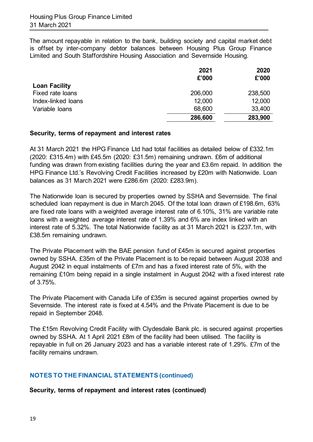The amount repayable in relation to the bank, building society and capital market debt is offset by inter-company debtor balances between Housing Plus Group Finance Limited and South Staffordshire Housing Association and Severnside Housing.

|                      | 2021<br>£'000 | 2020<br>£'000 |
|----------------------|---------------|---------------|
| <b>Loan Facility</b> |               |               |
| Fixed rate loans     | 206,000       | 238,500       |
| Index-linked loans   | 12,000        | 12,000        |
| Variable loans       | 68,600        | 33,400        |
|                      | 286,600       | 283,900       |

## **Security, terms of repayment and interest rates**

At 31 March 2021 the HPG Finance Ltd had total facilities as detailed below of £332.1m (2020: £315.4m) with £45.5m (2020: £31.5m) remaining undrawn. £6m of additional funding was drawn from existing facilities during the year and £3.6m repaid. In addition the HPG Finance Ltd.'s Revolving Credit Facilities increased by £20m with Nationwide. Loan balances as 31 March 2021 were £286.6m (2020: £283.9m).

The Nationwide loan is secured by properties owned by SSHA and Severnside. The final scheduled loan repayment is due in March 2045. Of the total loan drawn of £198.6m, 63% are fixed rate loans with a weighted average interest rate of 6.10%, 31% are variable rate loans with a weighted average interest rate of 1.39% and 6% are index linked with an interest rate of 5.32%. The total Nationwide facility as at 31 March 2021 is £237.1m, with £38.5m remaining undrawn.

The Private Placement with the BAE pension fund of £45m is secured against properties owned by SSHA. £35m of the Private Placement is to be repaid between August 2038 and August 2042 in equal instalments of £7m and has a fixed interest rate of 5%, with the remaining £10m being repaid in a single instalment in August 2042 with a fixed interest rate of 3.75%.

The Private Placement with Canada Life of £35m is secured against properties owned by Severnside. The interest rate is fixed at 4.54% and the Private Placement is due to be repaid in September 2048.

The £15m Revolving Credit Facility with Clydesdale Bank plc. is secured against properties owned by SSHA. At 1 April 2021 £8m of the facility had been utilised. The facility is repayable in full on 26 January 2023 and has a variable interest rate of 1.29%. £7m of the facility remains undrawn.

# **NOTES TO THE FINANCIAL STATEMENTS (continued)**

**Security, terms of repayment and interest rates (continued)**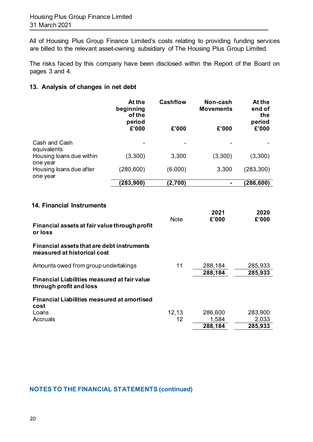All of Housing Plus Group Finance Limited's costs relating to providing funding services are billed to the relevant asset-owning subsidiary of The Housing Plus Group Limited.

The risks faced by this company have been disclosed within the Report of the Board on pages 3 and 4.

# **13. Analysis of changes in net debt**

|                                      | At the<br>beginning<br>of the<br>period<br>£'000 | <b>Cashflow</b><br>£'000 | Non-cash<br><b>Movements</b><br>£'000 | At the<br>end of<br>the<br>period<br>£'000 |
|--------------------------------------|--------------------------------------------------|--------------------------|---------------------------------------|--------------------------------------------|
| Cash and Cash<br>equivalents         |                                                  |                          |                                       |                                            |
| Housing loans due within<br>one year | (3,300)                                          | 3,300                    | (3,300)                               | (3,300)                                    |
| Housing loans due after<br>one year  | (280, 600)                                       | (6,000)                  | 3,300                                 | (283, 300)                                 |
|                                      | (283, 900)                                       | (2,700)                  |                                       | (286, 600)                                 |

## **14. Financial Instruments**

| Financial assets at fair value through profit<br>or loss                       | <b>Note</b> | 2021<br>£'000 | 2020<br>£'000 |
|--------------------------------------------------------------------------------|-------------|---------------|---------------|
| Financial assets that are debt instruments<br>measured at historical cost      |             |               |               |
| Amounts owed from group undertakings                                           | 11          | 288,184       | 285,933       |
| <b>Financial Liabilities measured at fair value</b><br>through profit and loss |             | 288,184       | 285,933       |
| <b>Financial Liabilities measured at amortised</b><br>cost                     |             |               |               |
| Loans                                                                          | 12,13       | 286,600       | 283,900       |
| Accruals                                                                       | 12          | 1,584         | 2,033         |
|                                                                                |             | 288,184       | 285,933       |

# **NOTES TO THE FINANCIAL STATEMENTS (continued)**